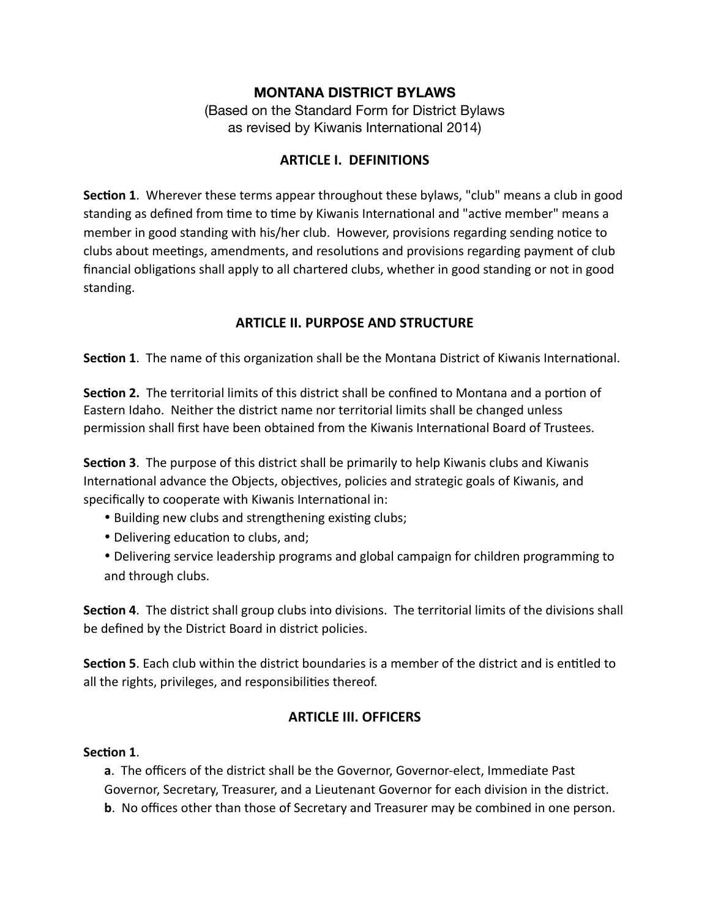#### **MONTANA DISTRICT BYLAWS**

(Based on the Standard Form for District Bylaws as revised by Kiwanis International 2014)

#### **ARTICLE I. DEFINITIONS**

**Section 1**. Wherever these terms appear throughout these bylaws, "club" means a club in good standing as defined from time to time by Kiwanis International and "active member" means a member in good standing with his/her club. However, provisions regarding sending notice to clubs about meetings, amendments, and resolutions and provisions regarding payment of club financial obligations shall apply to all chartered clubs, whether in good standing or not in good standing.

#### **ARTICLE II. PURPOSE AND STRUCTURE**

**Section 1**. The name of this organization shall be the Montana District of Kiwanis International.

**Section 2.** The territorial limits of this district shall be confined to Montana and a portion of Eastern Idaho. Neither the district name nor territorial limits shall be changed unless permission shall first have been obtained from the Kiwanis International Board of Trustees.

**Section 3**. The purpose of this district shall be primarily to help Kiwanis clubs and Kiwanis International advance the Objects, objectives, policies and strategic goals of Kiwanis, and specifically to cooperate with Kiwanis International in:

- Building new clubs and strengthening existing clubs;
- Delivering education to clubs, and;
- Delivering service leadership programs and global campaign for children programming to and through clubs.

**Section 4**. The district shall group clubs into divisions. The territorial limits of the divisions shall be defined by the District Board in district policies.

**Section 5**. Each club within the district boundaries is a member of the district and is entitled to all the rights, privileges, and responsibilities thereof.

### **ARTICLE III. OFFICERS**

#### **Section 1**.

**a**. The officers of the district shall be the Governor, Governor-elect, Immediate Past Governor, Secretary, Treasurer, and a Lieutenant Governor for each division in the district. **b**. No offices other than those of Secretary and Treasurer may be combined in one person.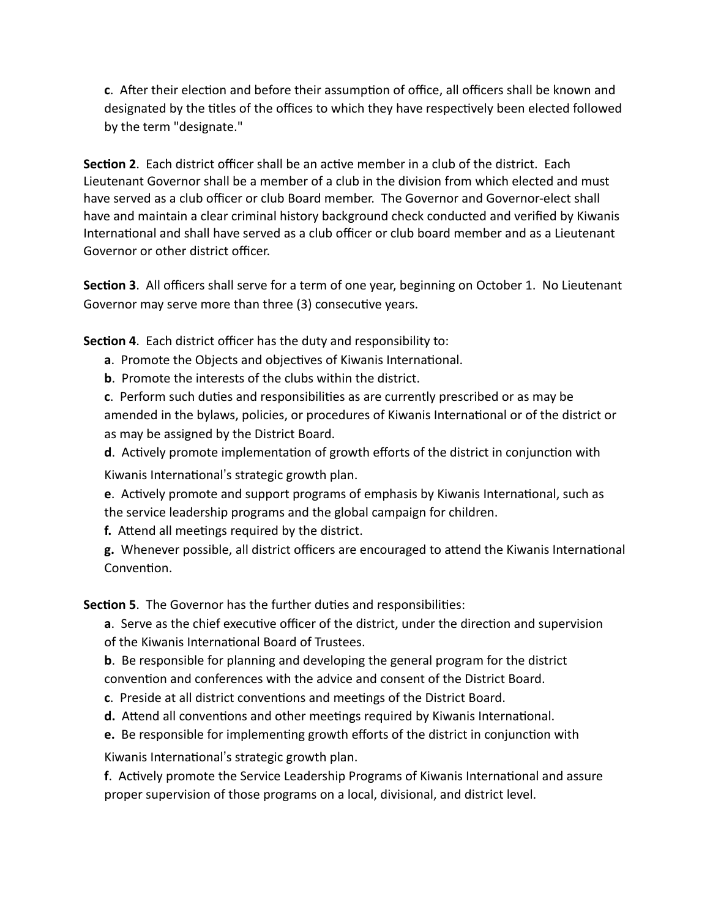**c**. After their election and before their assumption of office, all officers shall be known and designated by the titles of the offices to which they have respectively been elected followed by the term "designate."

**Section 2**. Each district officer shall be an active member in a club of the district. Each Lieutenant Governor shall be a member of a club in the division from which elected and must have served as a club officer or club Board member. The Governor and Governor-elect shall have and maintain a clear criminal history background check conducted and verified by Kiwanis International and shall have served as a club officer or club board member and as a Lieutenant Governor or other district officer.

**Section 3**. All officers shall serve for a term of one year, beginning on October 1. No Lieutenant Governor may serve more than three (3) consecutive years.

**Section 4**. Each district officer has the duty and responsibility to:

- **a**. Promote the Objects and objectives of Kiwanis International.
- **b**. Promote the interests of the clubs within the district.

**c**. Perform such duties and responsibilities as are currently prescribed or as may be amended in the bylaws, policies, or procedures of Kiwanis International or of the district or as may be assigned by the District Board.

**d**. Actively promote implementation of growth efforts of the district in conjunction with

Kiwanis International's strategic growth plan.

**e**. Actively promote and support programs of emphasis by Kiwanis International, such as the service leadership programs and the global campaign for children.

**f.** Attend all meetings required by the district.

**g.** Whenever possible, all district officers are encouraged to attend the Kiwanis International Convention.

**Section 5**. The Governor has the further duties and responsibilities:

**a**. Serve as the chief executive officer of the district, under the direction and supervision of the Kiwanis International Board of Trustees.

**b**. Be responsible for planning and developing the general program for the district convention and conferences with the advice and consent of the District Board.

- **c**. Preside at all district conventions and meetings of the District Board.
- **d.** Attend all conventions and other meetings required by Kiwanis International.
- **e.** Be responsible for implementing growth efforts of the district in conjunction with

Kiwanis International's strategic growth plan.

**f**. Actively promote the Service Leadership Programs of Kiwanis International and assure proper supervision of those programs on a local, divisional, and district level.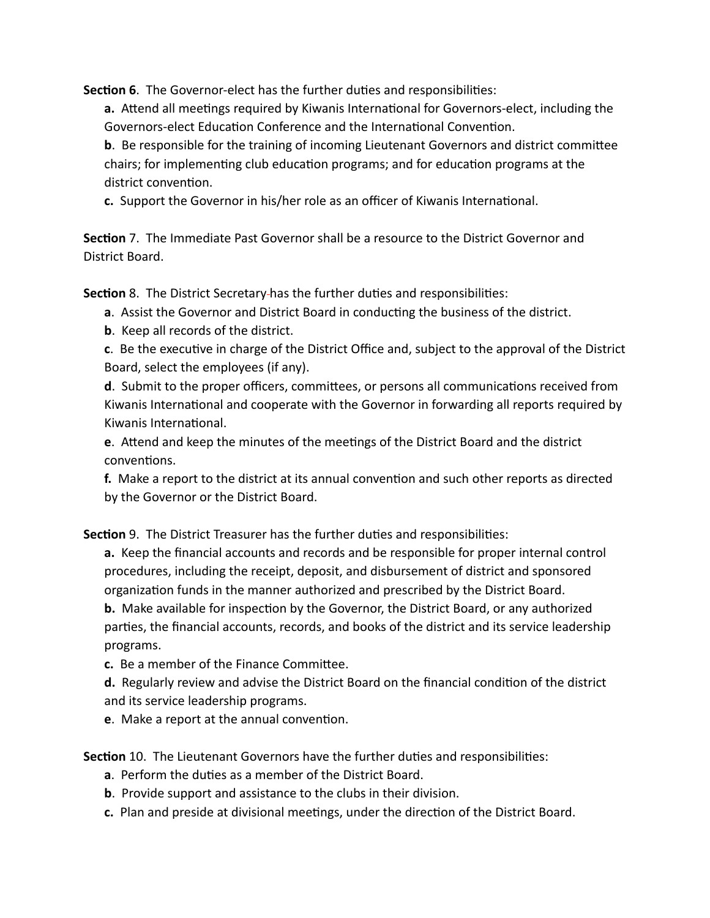**Section 6**. The Governor-elect has the further duties and responsibilities:

**a.** Attend all meetings required by Kiwanis International for Governors-elect, including the Governors-elect Education Conference and the International Convention.

**b**. Be responsible for the training of incoming Lieutenant Governors and district committee chairs; for implementing club education programs; and for education programs at the district convention.

**c.** Support the Governor in his/her role as an officer of Kiwanis International.

**Section** 7. The Immediate Past Governor shall be a resource to the District Governor and District Board.

**Section** 8. The District Secretary has the further duties and responsibilities:

- **a**. Assist the Governor and District Board in conducting the business of the district.
- **b**. Keep all records of the district.

**c**. Be the executive in charge of the District Office and, subject to the approval of the District Board, select the employees (if any).

**d**. Submit to the proper officers, committees, or persons all communications received from Kiwanis International and cooperate with the Governor in forwarding all reports required by Kiwanis International.

**e**. Attend and keep the minutes of the meetings of the District Board and the district conventions.

**f.** Make a report to the district at its annual convention and such other reports as directed by the Governor or the District Board.

**Section** 9. The District Treasurer has the further duties and responsibilities:

**a.** Keep the financial accounts and records and be responsible for proper internal control procedures, including the receipt, deposit, and disbursement of district and sponsored organization funds in the manner authorized and prescribed by the District Board. **b.** Make available for inspection by the Governor, the District Board, or any authorized parties, the financial accounts, records, and books of the district and its service leadership programs.

**c.** Be a member of the Finance Committee.

**d.** Regularly review and advise the District Board on the financial condition of the district and its service leadership programs.

**e**. Make a report at the annual convention.

**Section** 10. The Lieutenant Governors have the further duties and responsibilities:

- **a**. Perform the duties as a member of the District Board.
- **b**. Provide support and assistance to the clubs in their division.
- **c.** Plan and preside at divisional meetings, under the direction of the District Board.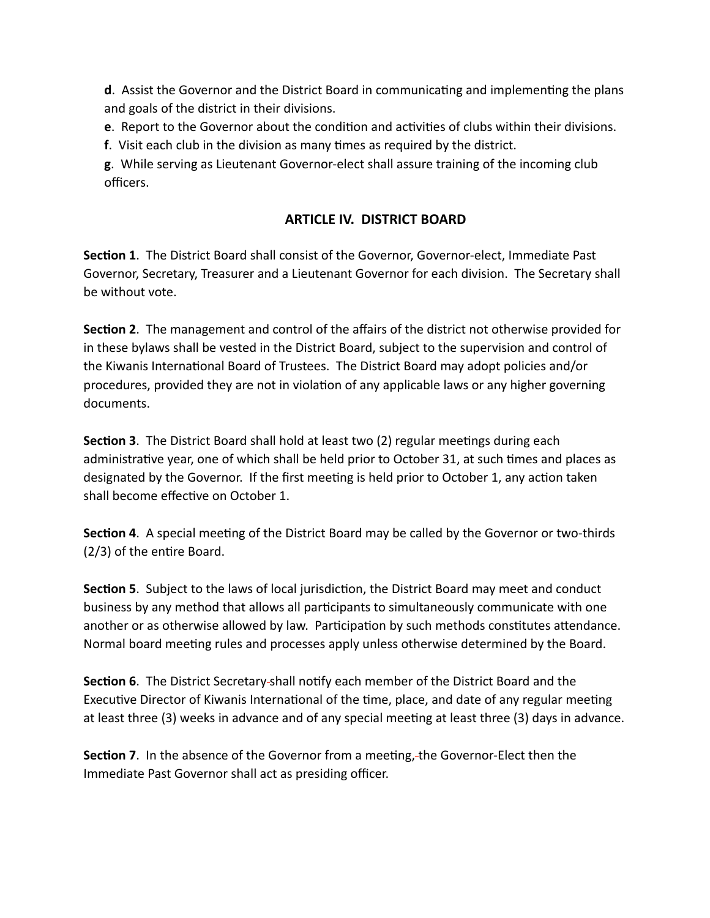**d**. Assist the Governor and the District Board in communicating and implementing the plans and goals of the district in their divisions.

**e**. Report to the Governor about the condition and activities of clubs within their divisions.

**f**. Visit each club in the division as many times as required by the district.

**g**. While serving as Lieutenant Governor-elect shall assure training of the incoming club officers.

### **ARTICLE IV. DISTRICT BOARD**

**Section 1**. The District Board shall consist of the Governor, Governor-elect, Immediate Past Governor, Secretary, Treasurer and a Lieutenant Governor for each division. The Secretary shall be without vote.

**Section 2**. The management and control of the affairs of the district not otherwise provided for in these bylaws shall be vested in the District Board, subject to the supervision and control of the Kiwanis International Board of Trustees. The District Board may adopt policies and/or procedures, provided they are not in violation of any applicable laws or any higher governing documents.

**Section 3**. The District Board shall hold at least two (2) regular meetings during each administrative year, one of which shall be held prior to October 31, at such times and places as designated by the Governor. If the first meeting is held prior to October 1, any action taken shall become effective on October 1.

**Section 4**. A special meeting of the District Board may be called by the Governor or two-thirds (2/3) of the entire Board.

**Section 5**. Subject to the laws of local jurisdiction, the District Board may meet and conduct business by any method that allows all participants to simultaneously communicate with one another or as otherwise allowed by law. Participation by such methods constitutes attendance. Normal board meeting rules and processes apply unless otherwise determined by the Board.

**Section 6**. The District Secretary shall notify each member of the District Board and the Executive Director of Kiwanis International of the time, place, and date of any regular meeting at least three (3) weeks in advance and of any special meeting at least three (3) days in advance.

**Section 7**. In the absence of the Governor from a meeting, the Governor-Elect then the Immediate Past Governor shall act as presiding officer.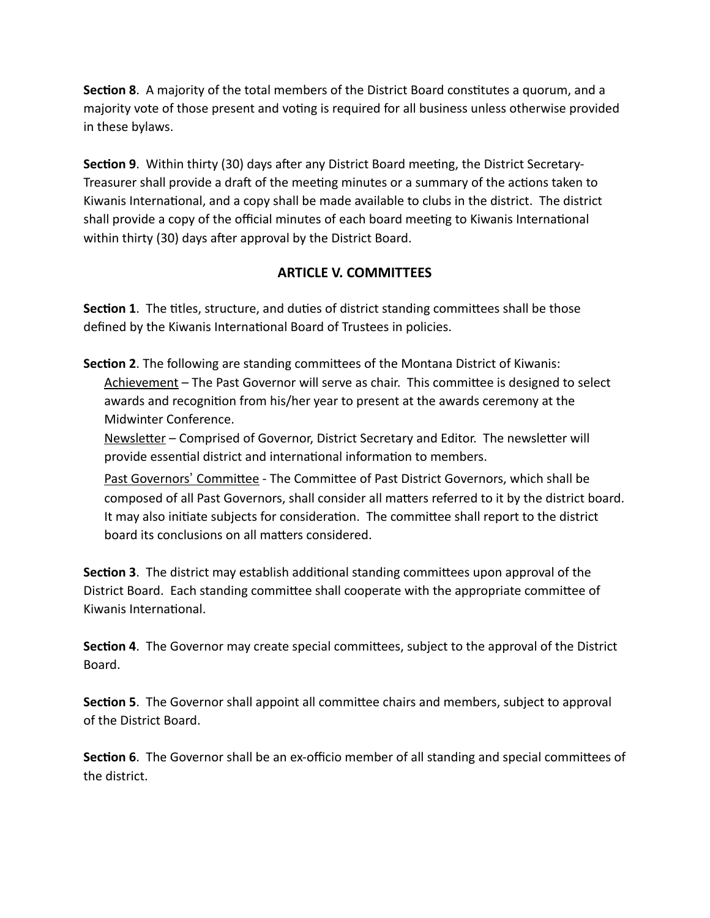**Section 8**. A majority of the total members of the District Board constitutes a quorum, and a majority vote of those present and voting is required for all business unless otherwise provided in these bylaws.

**Section 9**. Within thirty (30) days after any District Board meeting, the District Secretary-Treasurer shall provide a draft of the meeting minutes or a summary of the actions taken to Kiwanis International, and a copy shall be made available to clubs in the district. The district shall provide a copy of the official minutes of each board meeting to Kiwanis International within thirty (30) days after approval by the District Board.

### **ARTICLE V. COMMITTEES**

**Section 1**. The titles, structure, and duties of district standing committees shall be those defined by the Kiwanis International Board of Trustees in policies.

**Section 2**. The following are standing committees of the Montana District of Kiwanis: Achievement - The Past Governor will serve as chair. This committee is designed to select awards and recognition from his/her year to present at the awards ceremony at the Midwinter Conference.

Newsletter – Comprised of Governor, District Secretary and Editor. The newsletter will provide essential district and international information to members.

Past Governors' Committee - The Committee of Past District Governors, which shall be composed of all Past Governors, shall consider all matters referred to it by the district board. It may also initiate subjects for consideration. The committee shall report to the district board its conclusions on all matters considered.

**Section 3**. The district may establish additional standing committees upon approval of the District Board. Each standing committee shall cooperate with the appropriate committee of Kiwanis International.

**Section 4**. The Governor may create special committees, subject to the approval of the District Board.

**Section 5**. The Governor shall appoint all committee chairs and members, subject to approval of the District Board.

**Section 6**. The Governor shall be an ex-officio member of all standing and special committees of the district.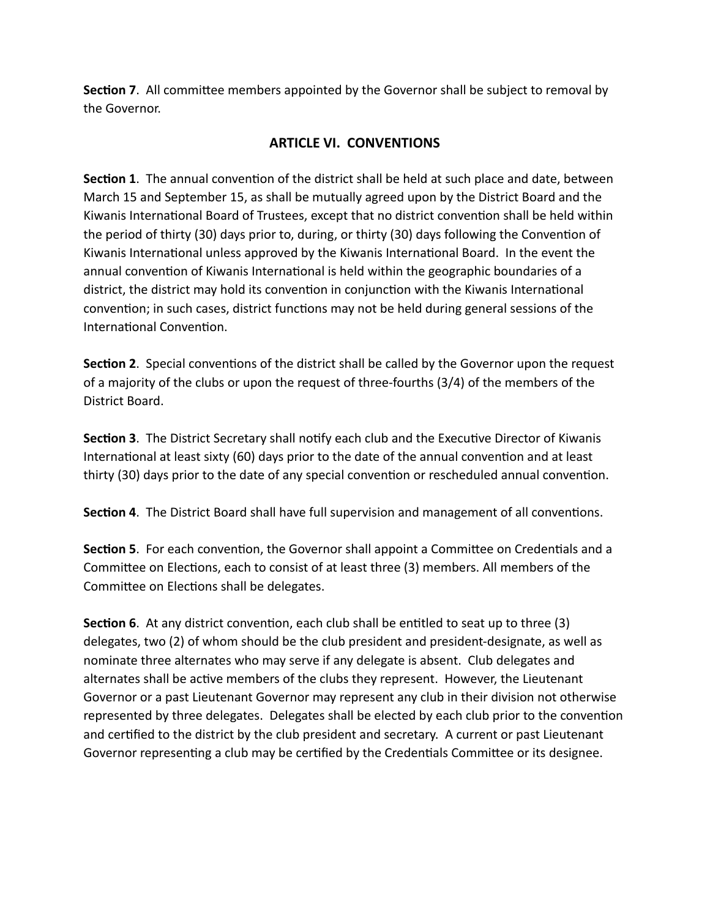**Section 7**. All committee members appointed by the Governor shall be subject to removal by the Governor.

## **ARTICLE VI. CONVENTIONS**

**Section 1**. The annual convention of the district shall be held at such place and date, between March 15 and September 15, as shall be mutually agreed upon by the District Board and the Kiwanis International Board of Trustees, except that no district convention shall be held within the period of thirty (30) days prior to, during, or thirty (30) days following the Convention of Kiwanis International unless approved by the Kiwanis International Board. In the event the annual convention of Kiwanis International is held within the geographic boundaries of a district, the district may hold its convention in conjunction with the Kiwanis International convention; in such cases, district functions may not be held during general sessions of the International Convention.

**Section 2**. Special conventions of the district shall be called by the Governor upon the request of a majority of the clubs or upon the request of three-fourths (3/4) of the members of the District Board.

**Section 3**. The District Secretary shall notify each club and the Executive Director of Kiwanis International at least sixty (60) days prior to the date of the annual convention and at least thirty (30) days prior to the date of any special convention or rescheduled annual convention.

**Section 4**. The District Board shall have full supervision and management of all conventions.

**Section 5**. For each convention, the Governor shall appoint a Committee on Credentials and a Committee on Elections, each to consist of at least three (3) members. All members of the Committee on Elections shall be delegates.

**Section 6**. At any district convention, each club shall be entitled to seat up to three (3) delegates, two (2) of whom should be the club president and president-designate, as well as nominate three alternates who may serve if any delegate is absent. Club delegates and alternates shall be active members of the clubs they represent. However, the Lieutenant Governor or a past Lieutenant Governor may represent any club in their division not otherwise represented by three delegates. Delegates shall be elected by each club prior to the convention and certified to the district by the club president and secretary. A current or past Lieutenant Governor representing a club may be certified by the Credentials Committee or its designee.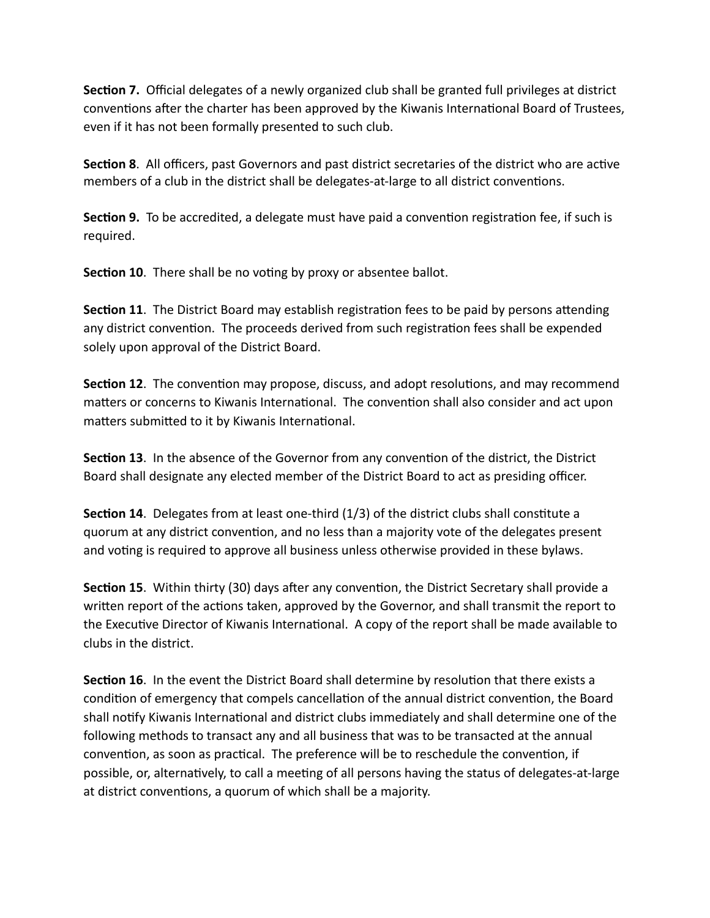**Section 7.** Official delegates of a newly organized club shall be granted full privileges at district conventions after the charter has been approved by the Kiwanis International Board of Trustees, even if it has not been formally presented to such club.

**Section 8**. All officers, past Governors and past district secretaries of the district who are active members of a club in the district shall be delegates-at-large to all district conventions.

**Section 9.** To be accredited, a delegate must have paid a convention registration fee, if such is required.

**Section 10**. There shall be no voting by proxy or absentee ballot.

**Section 11**. The District Board may establish registration fees to be paid by persons attending any district convention. The proceeds derived from such registration fees shall be expended solely upon approval of the District Board.

**Section 12**. The convention may propose, discuss, and adopt resolutions, and may recommend matters or concerns to Kiwanis International. The convention shall also consider and act upon matters submitted to it by Kiwanis International.

**Section 13**. In the absence of the Governor from any convention of the district, the District Board shall designate any elected member of the District Board to act as presiding officer.

**Section 14**. Delegates from at least one-third (1/3) of the district clubs shall constitute a quorum at any district convention, and no less than a majority vote of the delegates present and voting is required to approve all business unless otherwise provided in these bylaws.

**Section 15**. Within thirty (30) days after any convention, the District Secretary shall provide a written report of the actions taken, approved by the Governor, and shall transmit the report to the Executive Director of Kiwanis International. A copy of the report shall be made available to clubs in the district.

**Section 16**. In the event the District Board shall determine by resolution that there exists a condition of emergency that compels cancellation of the annual district convention, the Board shall notify Kiwanis International and district clubs immediately and shall determine one of the following methods to transact any and all business that was to be transacted at the annual convention, as soon as practical. The preference will be to reschedule the convention, if possible, or, alternatively, to call a meeting of all persons having the status of delegates-at-large at district conventions, a quorum of which shall be a majority.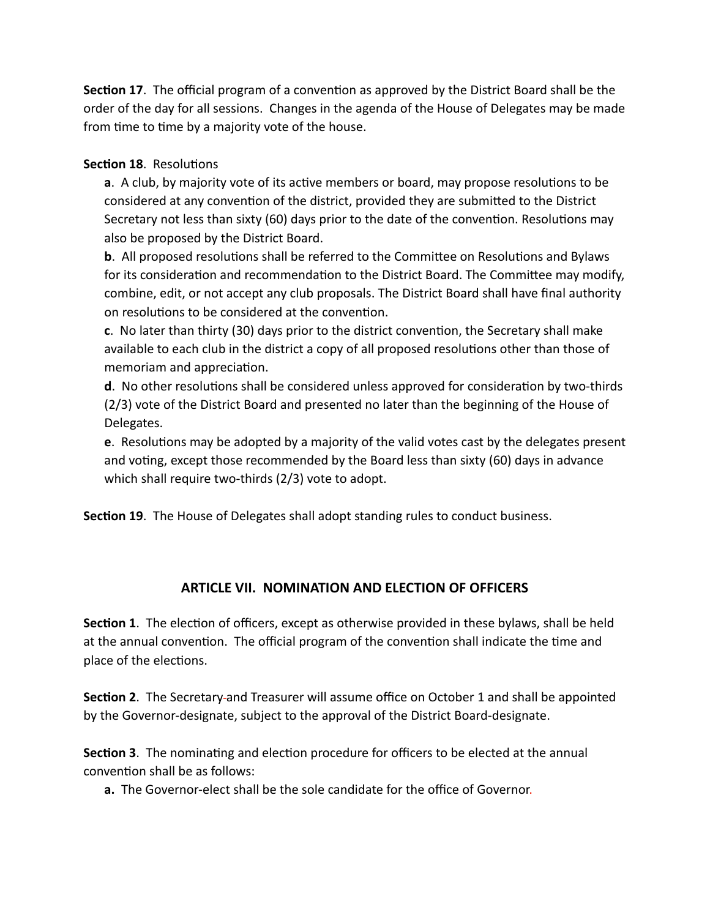**Section 17**. The official program of a convention as approved by the District Board shall be the order of the day for all sessions. Changes in the agenda of the House of Delegates may be made from time to time by a majority vote of the house.

#### **Section 18**. Resolutions

**a**. A club, by majority vote of its active members or board, may propose resolutions to be considered at any convention of the district, provided they are submitted to the District Secretary not less than sixty (60) days prior to the date of the convention. Resolutions may also be proposed by the District Board.

**b**. All proposed resolutions shall be referred to the Committee on Resolutions and Bylaws for its consideration and recommendation to the District Board. The Committee may modify, combine, edit, or not accept any club proposals. The District Board shall have final authority on resolutions to be considered at the convention.

**c**. No later than thirty (30) days prior to the district convention, the Secretary shall make available to each club in the district a copy of all proposed resolutions other than those of memoriam and appreciation.

**d**. No other resolutions shall be considered unless approved for consideration by two-thirds (2/3) vote of the District Board and presented no later than the beginning of the House of Delegates.

**e**. Resolutions may be adopted by a majority of the valid votes cast by the delegates present and voting, except those recommended by the Board less than sixty (60) days in advance which shall require two-thirds (2/3) vote to adopt.

**Section 19**. The House of Delegates shall adopt standing rules to conduct business.

### **ARTICLE VII. NOMINATION AND ELECTION OF OFFICERS**

**Section 1**. The election of officers, except as otherwise provided in these bylaws, shall be held at the annual convention. The official program of the convention shall indicate the time and place of the elections.

**Section 2**. The Secretary and Treasurer will assume office on October 1 and shall be appointed by the Governor-designate, subject to the approval of the District Board-designate.

**Section 3**. The nominating and election procedure for officers to be elected at the annual convention shall be as follows:

**a.** The Governor-elect shall be the sole candidate for the office of Governor.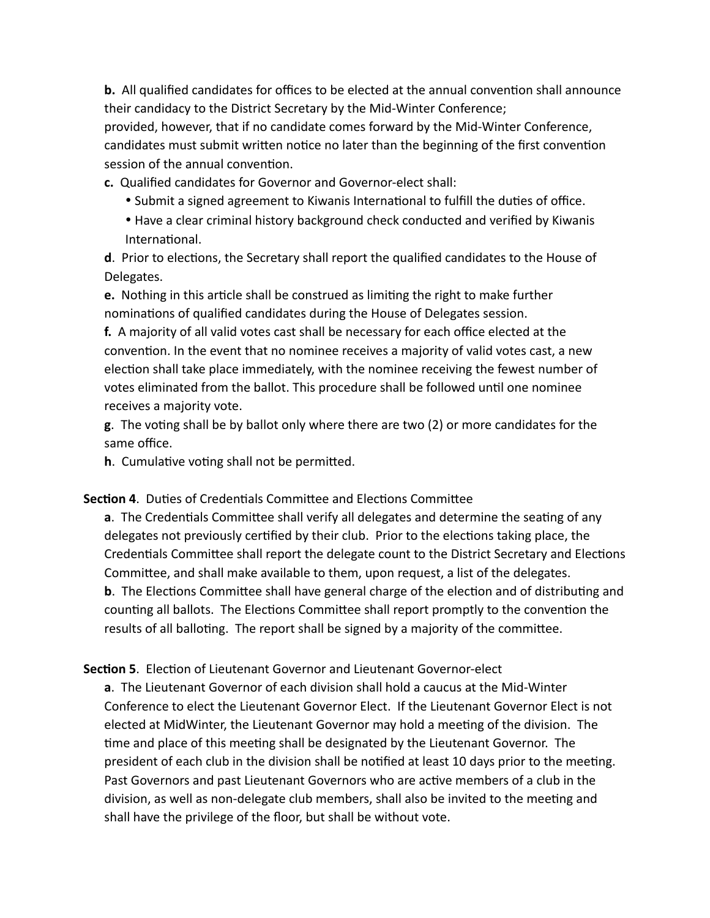**b.** All qualified candidates for offices to be elected at the annual convention shall announce their candidacy to the District Secretary by the Mid-Winter Conference;

provided, however, that if no candidate comes forward by the Mid-Winter Conference, candidates must submit written notice no later than the beginning of the first convention session of the annual convention.

**c.** Qualified candidates for Governor and Governor-elect shall:

- Submit a signed agreement to Kiwanis International to fulfill the duties of office.
- Have a clear criminal history background check conducted and verified by Kiwanis International.

**d**. Prior to elections, the Secretary shall report the qualified candidates to the House of Delegates.

**e.** Nothing in this article shall be construed as limiting the right to make further nominations of qualified candidates during the House of Delegates session.

**f.** A majority of all valid votes cast shall be necessary for each office elected at the convention. In the event that no nominee receives a majority of valid votes cast, a new election shall take place immediately, with the nominee receiving the fewest number of votes eliminated from the ballot. This procedure shall be followed until one nominee receives a majority vote.

**g**. The voting shall be by ballot only where there are two (2) or more candidates for the same office.

**h**. Cumulative voting shall not be permitted.

#### **Section 4**. Duties of Credentials Committee and Elections Committee

**a**. The Credentials Committee shall verify all delegates and determine the seating of any delegates not previously certified by their club. Prior to the elections taking place, the Credentials Committee shall report the delegate count to the District Secretary and Elections Committee, and shall make available to them, upon request, a list of the delegates. **b**. The Elections Committee shall have general charge of the election and of distributing and

counting all ballots. The Elections Committee shall report promptly to the convention the results of all balloting. The report shall be signed by a majority of the committee.

**Section 5**. Election of Lieutenant Governor and Lieutenant Governor-elect

**a**. The Lieutenant Governor of each division shall hold a caucus at the Mid-Winter Conference to elect the Lieutenant Governor Elect. If the Lieutenant Governor Elect is not elected at MidWinter, the Lieutenant Governor may hold a meeting of the division. The time and place of this meeting shall be designated by the Lieutenant Governor. The president of each club in the division shall be notified at least 10 days prior to the meeting. Past Governors and past Lieutenant Governors who are active members of a club in the division, as well as non-delegate club members, shall also be invited to the meeting and shall have the privilege of the floor, but shall be without vote.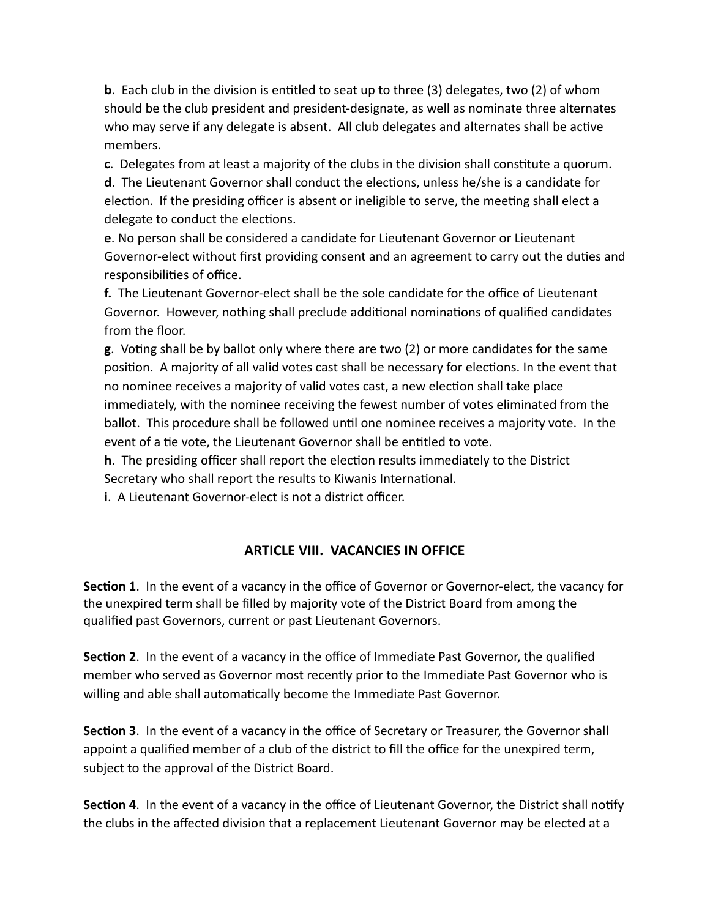**b**. Each club in the division is entitled to seat up to three (3) delegates, two (2) of whom should be the club president and president-designate, as well as nominate three alternates who may serve if any delegate is absent. All club delegates and alternates shall be active members.

**c**. Delegates from at least a majority of the clubs in the division shall constitute a quorum.

**d**. The Lieutenant Governor shall conduct the elections, unless he/she is a candidate for election. If the presiding officer is absent or ineligible to serve, the meeting shall elect a delegate to conduct the elections.

**e**. No person shall be considered a candidate for Lieutenant Governor or Lieutenant Governor-elect without first providing consent and an agreement to carry out the duties and responsibilities of office.

**f.** The Lieutenant Governor-elect shall be the sole candidate for the office of Lieutenant Governor. However, nothing shall preclude additional nominations of qualified candidates from the floor.

**g**. Voting shall be by ballot only where there are two (2) or more candidates for the same position. A majority of all valid votes cast shall be necessary for elections. In the event that no nominee receives a majority of valid votes cast, a new election shall take place immediately, with the nominee receiving the fewest number of votes eliminated from the ballot. This procedure shall be followed until one nominee receives a majority vote. In the event of a tie vote, the Lieutenant Governor shall be entitled to vote.

**h**. The presiding officer shall report the election results immediately to the District Secretary who shall report the results to Kiwanis International.

**i**. A Lieutenant Governor-elect is not a district officer.

### **ARTICLE VIII. VACANCIES IN OFFICE**

**Section 1**. In the event of a vacancy in the office of Governor or Governor-elect, the vacancy for the unexpired term shall be filled by majority vote of the District Board from among the qualified past Governors, current or past Lieutenant Governors.

**Section 2**. In the event of a vacancy in the office of Immediate Past Governor, the qualified member who served as Governor most recently prior to the Immediate Past Governor who is willing and able shall automatically become the Immediate Past Governor.

**Section 3**. In the event of a vacancy in the office of Secretary or Treasurer, the Governor shall appoint a qualified member of a club of the district to fill the office for the unexpired term, subject to the approval of the District Board.

**Section 4**. In the event of a vacancy in the office of Lieutenant Governor, the District shall notify the clubs in the affected division that a replacement Lieutenant Governor may be elected at a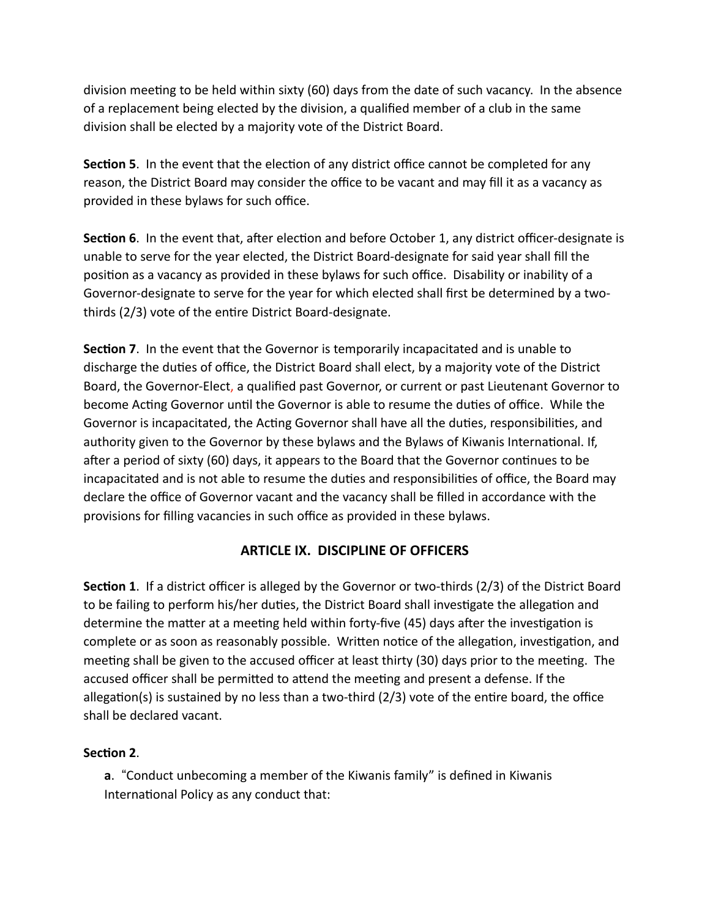division meeting to be held within sixty (60) days from the date of such vacancy. In the absence of a replacement being elected by the division, a qualified member of a club in the same division shall be elected by a majority vote of the District Board.

**Section 5**. In the event that the election of any district office cannot be completed for any reason, the District Board may consider the office to be vacant and may fill it as a vacancy as provided in these bylaws for such office.

**Section 6**. In the event that, after election and before October 1, any district officer-designate is unable to serve for the year elected, the District Board-designate for said year shall fill the position as a vacancy as provided in these bylaws for such office. Disability or inability of a Governor-designate to serve for the year for which elected shall first be determined by a twothirds (2/3) vote of the entire District Board-designate.

**Section 7**. In the event that the Governor is temporarily incapacitated and is unable to discharge the duties of office, the District Board shall elect, by a majority vote of the District Board, the Governor-Elect, a qualified past Governor, or current or past Lieutenant Governor to become Acting Governor until the Governor is able to resume the duties of office. While the Governor is incapacitated, the Acting Governor shall have all the duties, responsibilities, and authority given to the Governor by these bylaws and the Bylaws of Kiwanis International. If, after a period of sixty (60) days, it appears to the Board that the Governor continues to be incapacitated and is not able to resume the duties and responsibilities of office, the Board may declare the office of Governor vacant and the vacancy shall be filled in accordance with the provisions for filling vacancies in such office as provided in these bylaws.

### **ARTICLE IX. DISCIPLINE OF OFFICERS**

**Section 1**. If a district officer is alleged by the Governor or two-thirds (2/3) of the District Board to be failing to perform his/her duties, the District Board shall investigate the allegation and determine the matter at a meeting held within forty-five (45) days after the investigation is complete or as soon as reasonably possible. Written notice of the allegation, investigation, and meeting shall be given to the accused officer at least thirty (30) days prior to the meeting. The accused officer shall be permitted to attend the meeting and present a defense. If the allegation(s) is sustained by no less than a two-third (2/3) vote of the entire board, the office shall be declared vacant.

#### **Section 2**.

**a**. "Conduct unbecoming a member of the Kiwanis family" is defined in Kiwanis International Policy as any conduct that: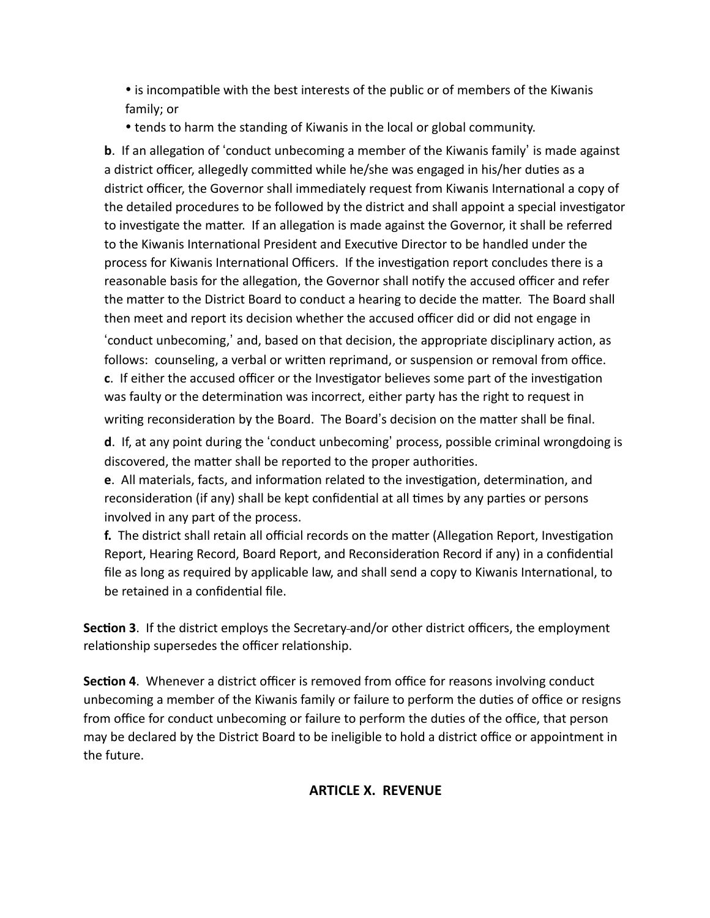• is incompatible with the best interests of the public or of members of the Kiwanis family; or

• tends to harm the standing of Kiwanis in the local or global community.

**b**. If an allegation of 'conduct unbecoming a member of the Kiwanis family' is made against a district officer, allegedly committed while he/she was engaged in his/her duties as a district officer, the Governor shall immediately request from Kiwanis International a copy of the detailed procedures to be followed by the district and shall appoint a special investigator to investigate the matter. If an allegation is made against the Governor, it shall be referred to the Kiwanis International President and Executive Director to be handled under the process for Kiwanis International Officers. If the investigation report concludes there is a reasonable basis for the allegation, the Governor shall notify the accused officer and refer the matter to the District Board to conduct a hearing to decide the matter. The Board shall then meet and report its decision whether the accused officer did or did not engage in

'conduct unbecoming,' and, based on that decision, the appropriate disciplinary action, as follows: counseling, a verbal or written reprimand, or suspension or removal from office. **c**. If either the accused officer or the Investigator believes some part of the investigation was faulty or the determination was incorrect, either party has the right to request in writing reconsideration by the Board. The Board's decision on the matter shall be final.

**d**. If, at any point during the 'conduct unbecoming' process, possible criminal wrongdoing is discovered, the matter shall be reported to the proper authorities.

**e**. All materials, facts, and information related to the investigation, determination, and reconsideration (if any) shall be kept confidential at all times by any parties or persons involved in any part of the process.

**f.** The district shall retain all official records on the matter (Allegation Report, Investigation Report, Hearing Record, Board Report, and Reconsideration Record if any) in a confidential file as long as required by applicable law, and shall send a copy to Kiwanis International, to be retained in a confidential file.

**Section 3**. If the district employs the Secretary and/or other district officers, the employment relationship supersedes the officer relationship.

**Section 4**. Whenever a district officer is removed from office for reasons involving conduct unbecoming a member of the Kiwanis family or failure to perform the duties of office or resigns from office for conduct unbecoming or failure to perform the duties of the office, that person may be declared by the District Board to be ineligible to hold a district office or appointment in the future.

### **ARTICLE X. REVENUE**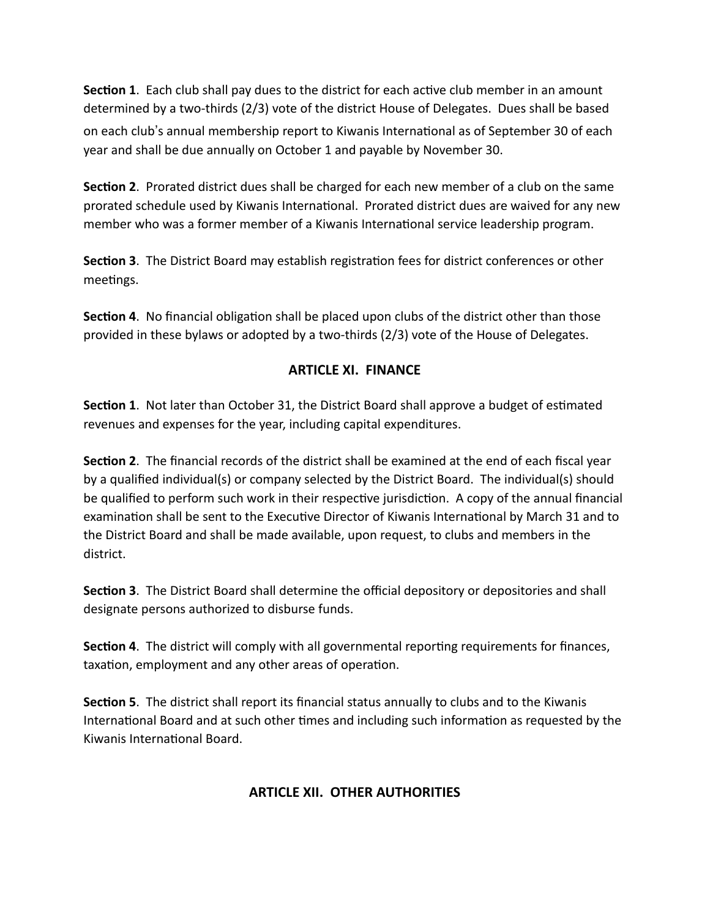**Section 1.** Each club shall pay dues to the district for each active club member in an amount determined by a two-thirds (2/3) vote of the district House of Delegates. Dues shall be based on each club's annual membership report to Kiwanis International as of September 30 of each year and shall be due annually on October 1 and payable by November 30.

**Section 2**. Prorated district dues shall be charged for each new member of a club on the same prorated schedule used by Kiwanis International. Prorated district dues are waived for any new member who was a former member of a Kiwanis International service leadership program.

**Section 3**. The District Board may establish registration fees for district conferences or other meetings.

**Section 4**. No financial obligation shall be placed upon clubs of the district other than those provided in these bylaws or adopted by a two-thirds (2/3) vote of the House of Delegates.

### **ARTICLE XI. FINANCE**

**Section 1**. Not later than October 31, the District Board shall approve a budget of estimated revenues and expenses for the year, including capital expenditures.

**Section 2**. The financial records of the district shall be examined at the end of each fiscal year by a qualified individual(s) or company selected by the District Board. The individual(s) should be qualified to perform such work in their respective jurisdiction. A copy of the annual financial examination shall be sent to the Executive Director of Kiwanis International by March 31 and to the District Board and shall be made available, upon request, to clubs and members in the district.

**Section 3**. The District Board shall determine the official depository or depositories and shall designate persons authorized to disburse funds.

**Section 4**. The district will comply with all governmental reporting requirements for finances, taxation, employment and any other areas of operation.

**Section 5**. The district shall report its financial status annually to clubs and to the Kiwanis International Board and at such other times and including such information as requested by the Kiwanis International Board.

# **ARTICLE XII. OTHER AUTHORITIES**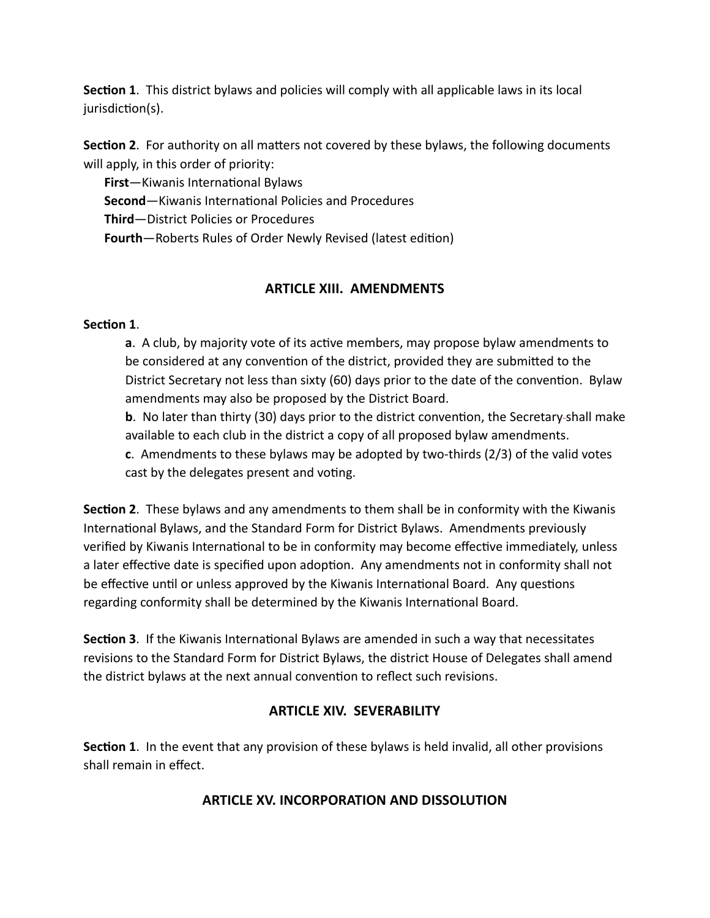**Section 1**. This district bylaws and policies will comply with all applicable laws in its local jurisdiction(s).

**Section 2**. For authority on all matters not covered by these bylaws, the following documents will apply, in this order of priority:

**First**—Kiwanis International Bylaws **Second**—Kiwanis International Policies and Procedures **Third**—District Policies or Procedures **Fourth**—Roberts Rules of Order Newly Revised (latest edition)

#### **ARTICLE XIII. AMENDMENTS**

#### **Section 1**.

**a**. A club, by majority vote of its active members, may propose bylaw amendments to be considered at any convention of the district, provided they are submitted to the District Secretary not less than sixty (60) days prior to the date of the convention. Bylaw amendments may also be proposed by the District Board.

**b**. No later than thirty (30) days prior to the district convention, the Secretary-shall make available to each club in the district a copy of all proposed bylaw amendments.

**c**. Amendments to these bylaws may be adopted by two-thirds (2/3) of the valid votes cast by the delegates present and voting.

**Section 2**. These bylaws and any amendments to them shall be in conformity with the Kiwanis International Bylaws, and the Standard Form for District Bylaws. Amendments previously verified by Kiwanis International to be in conformity may become effective immediately, unless a later effective date is specified upon adoption. Any amendments not in conformity shall not be effective until or unless approved by the Kiwanis International Board. Any questions regarding conformity shall be determined by the Kiwanis International Board.

**Section 3**. If the Kiwanis International Bylaws are amended in such a way that necessitates revisions to the Standard Form for District Bylaws, the district House of Delegates shall amend the district bylaws at the next annual convention to reflect such revisions.

#### **ARTICLE XIV. SEVERABILITY**

**Section 1**. In the event that any provision of these bylaws is held invalid, all other provisions shall remain in effect.

### **ARTICLE XV. INCORPORATION AND DISSOLUTION**